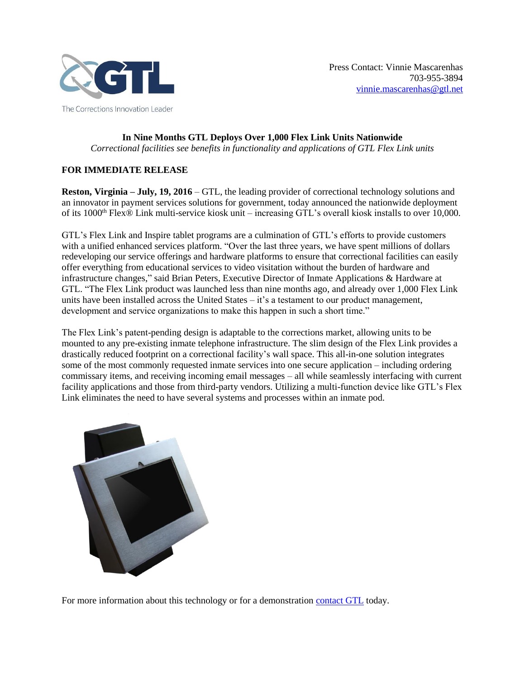

**In Nine Months GTL Deploys Over 1,000 Flex Link Units Nationwide** *Correctional facilities see benefits in functionality and applications of GTL Flex Link units*

## **FOR IMMEDIATE RELEASE**

**Reston, Virginia – July, 19, 2016** – GTL, the leading provider of correctional technology solutions and an innovator in payment services solutions for government, today announced the nationwide deployment of its 1000th Flex® Link multi-service kiosk unit – increasing GTL's overall kiosk installs to over 10,000.

GTL's Flex Link and Inspire tablet programs are a culmination of GTL's efforts to provide customers with a unified enhanced services platform. "Over the last three years, we have spent millions of dollars redeveloping our service offerings and hardware platforms to ensure that correctional facilities can easily offer everything from educational services to video visitation without the burden of hardware and infrastructure changes," said Brian Peters, Executive Director of Inmate Applications & Hardware at GTL. "The Flex Link product was launched less than nine months ago, and already over 1,000 Flex Link units have been installed across the United States – it's a testament to our product management, development and service organizations to make this happen in such a short time."

The Flex Link's patent-pending design is adaptable to the corrections market, allowing units to be mounted to any pre-existing inmate telephone infrastructure. The slim design of the Flex Link provides a drastically reduced footprint on a correctional facility's wall space. This all-in-one solution integrates some of the most commonly requested inmate services into one secure application – including ordering commissary items, and receiving incoming email messages – all while seamlessly interfacing with current facility applications and those from third-party vendors. Utilizing a multi-function device like GTL's Flex Link eliminates the need to have several systems and processes within an inmate pod.



For more information about this technology or for a demonstration [contact GTL](http://info.gtl.net/sales_contact_form) today.